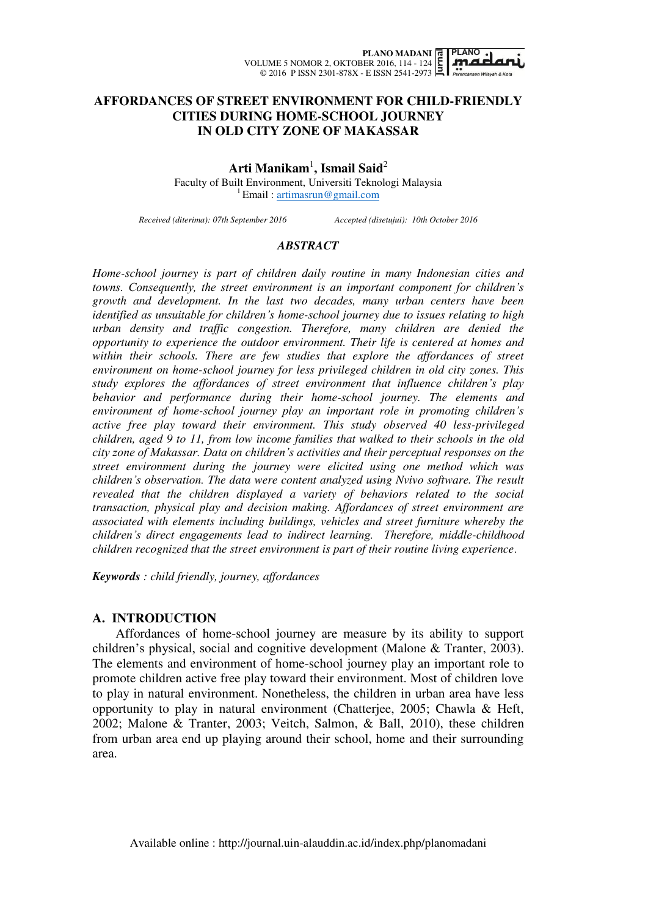

# **AFFORDANCES OF STREET ENVIRONMENT FOR CHILD-FRIENDLY CITIES DURING HOME-SCHOOL JOURNEY IN OLD CITY ZONE OF MAKASSAR**

**Arti Manikam**<sup>1</sup> **, Ismail Said**<sup>2</sup>

Faculty of Built Environment, Universiti Teknologi Malaysia  ${}^{1}$ Email : artimasrun@gmail.com

*Received (diterima): 07th September 2016 Accepted (disetujui): 10th October 2016* 

### *ABSTRACT*

*Home-school journey is part of children daily routine in many Indonesian cities and towns. Consequently, the street environment is an important component for children's growth and development. In the last two decades, many urban centers have been identified as unsuitable for children's home-school journey due to issues relating to high urban density and traffic congestion. Therefore, many children are denied the opportunity to experience the outdoor environment. Their life is centered at homes and*  within their schools. There are few studies that explore the affordances of street *environment on home-school journey for less privileged children in old city zones. This study explores the affordances of street environment that influence children's play behavior and performance during their home-school journey. The elements and environment of home-school journey play an important role in promoting children's active free play toward their environment. This study observed 40 less-privileged children, aged 9 to 11, from low income families that walked to their schools in the old city zone of Makassar. Data on children's activities and their perceptual responses on the street environment during the journey were elicited using one method which was children's observation. The data were content analyzed using Nvivo software. The result revealed that the children displayed a variety of behaviors related to the social transaction, physical play and decision making. Affordances of street environment are associated with elements including buildings, vehicles and street furniture whereby the children's direct engagements lead to indirect learning. Therefore, middle-childhood children recognized that the street environment is part of their routine living experience*.

*Keywords : child friendly, journey, affordances* 

## **A. INTRODUCTION**

 Affordances of home-school journey are measure by its ability to support children"s physical, social and cognitive development (Malone & Tranter, 2003). The elements and environment of home-school journey play an important role to promote children active free play toward their environment. Most of children love to play in natural environment. Nonetheless, the children in urban area have less opportunity to play in natural environment (Chatterjee, 2005; Chawla & Heft, 2002; Malone & Tranter, 2003; Veitch, Salmon, & Ball, 2010), these children from urban area end up playing around their school, home and their surrounding area.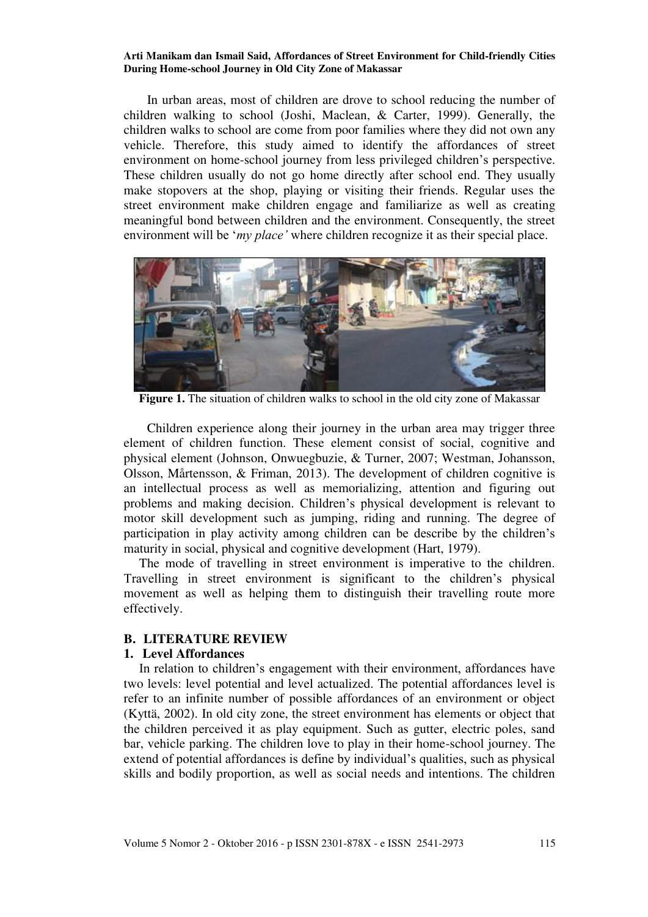In urban areas, most of children are drove to school reducing the number of children walking to school (Joshi, Maclean, & Carter, 1999). Generally, the children walks to school are come from poor families where they did not own any vehicle. Therefore, this study aimed to identify the affordances of street environment on home-school journey from less privileged children"s perspective. These children usually do not go home directly after school end. They usually make stopovers at the shop, playing or visiting their friends. Regular uses the street environment make children engage and familiarize as well as creating meaningful bond between children and the environment. Consequently, the street environment will be "*my place'* where children recognize it as their special place.



**Figure 1.** The situation of children walks to school in the old city zone of Makassar

 Children experience along their journey in the urban area may trigger three element of children function. These element consist of social, cognitive and physical element (Johnson, Onwuegbuzie, & Turner, 2007; Westman, Johansson, Olsson, Mårtensson, & Friman, 2013). The development of children cognitive is an intellectual process as well as memorializing, attention and figuring out problems and making decision. Children"s physical development is relevant to motor skill development such as jumping, riding and running. The degree of participation in play activity among children can be describe by the children"s maturity in social, physical and cognitive development (Hart, 1979).

 The mode of travelling in street environment is imperative to the children. Travelling in street environment is significant to the children"s physical movement as well as helping them to distinguish their travelling route more effectively.

## **B. LITERATURE REVIEW**

### **1. Level Affordances**

In relation to children's engagement with their environment, affordances have two levels: level potential and level actualized. The potential affordances level is refer to an infinite number of possible affordances of an environment or object (Kyttä, 2002). In old city zone, the street environment has elements or object that the children perceived it as play equipment. Such as gutter, electric poles, sand bar, vehicle parking. The children love to play in their home-school journey. The extend of potential affordances is define by individual"s qualities, such as physical skills and bodily proportion, as well as social needs and intentions. The children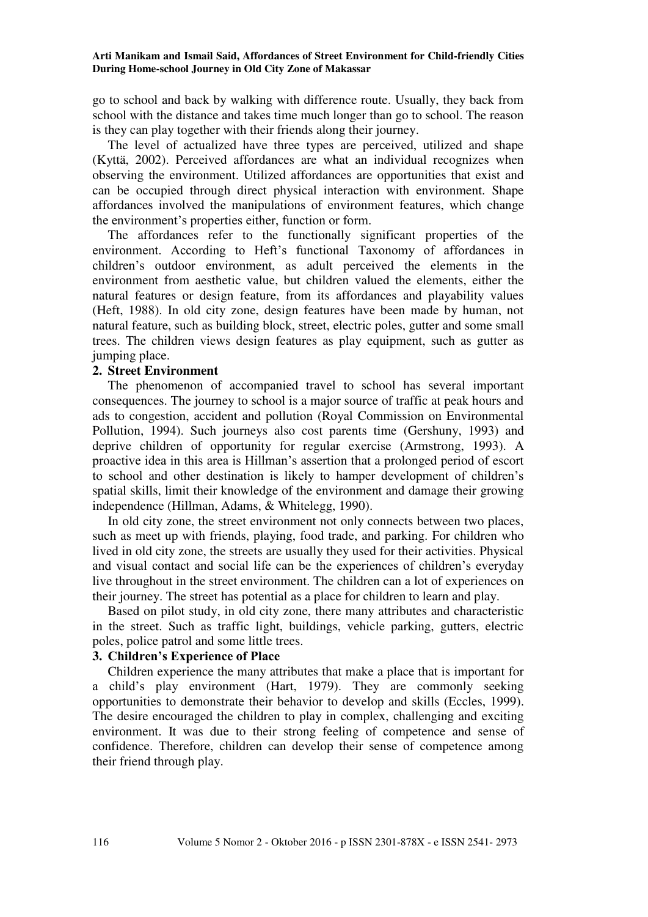go to school and back by walking with difference route. Usually, they back from school with the distance and takes time much longer than go to school. The reason is they can play together with their friends along their journey.

 The level of actualized have three types are perceived, utilized and shape (Kyttä, 2002). Perceived affordances are what an individual recognizes when observing the environment. Utilized affordances are opportunities that exist and can be occupied through direct physical interaction with environment. Shape affordances involved the manipulations of environment features, which change the environment"s properties either, function or form.

 The affordances refer to the functionally significant properties of the environment. According to Heft's functional Taxonomy of affordances in children"s outdoor environment, as adult perceived the elements in the environment from aesthetic value, but children valued the elements, either the natural features or design feature, from its affordances and playability values (Heft, 1988). In old city zone, design features have been made by human, not natural feature, such as building block, street, electric poles, gutter and some small trees. The children views design features as play equipment, such as gutter as jumping place.

## **2. Street Environment**

 The phenomenon of accompanied travel to school has several important consequences. The journey to school is a major source of traffic at peak hours and ads to congestion, accident and pollution (Royal Commission on Environmental Pollution, 1994). Such journeys also cost parents time (Gershuny, 1993) and deprive children of opportunity for regular exercise (Armstrong, 1993). A proactive idea in this area is Hillman"s assertion that a prolonged period of escort to school and other destination is likely to hamper development of children"s spatial skills, limit their knowledge of the environment and damage their growing independence (Hillman, Adams, & Whitelegg, 1990).

 In old city zone, the street environment not only connects between two places, such as meet up with friends, playing, food trade, and parking. For children who lived in old city zone, the streets are usually they used for their activities. Physical and visual contact and social life can be the experiences of children"s everyday live throughout in the street environment. The children can a lot of experiences on their journey. The street has potential as a place for children to learn and play.

 Based on pilot study, in old city zone, there many attributes and characteristic in the street. Such as traffic light, buildings, vehicle parking, gutters, electric poles, police patrol and some little trees.

## **3. Children's Experience of Place**

 Children experience the many attributes that make a place that is important for a child"s play environment (Hart, 1979). They are commonly seeking opportunities to demonstrate their behavior to develop and skills (Eccles, 1999). The desire encouraged the children to play in complex, challenging and exciting environment. It was due to their strong feeling of competence and sense of confidence. Therefore, children can develop their sense of competence among their friend through play.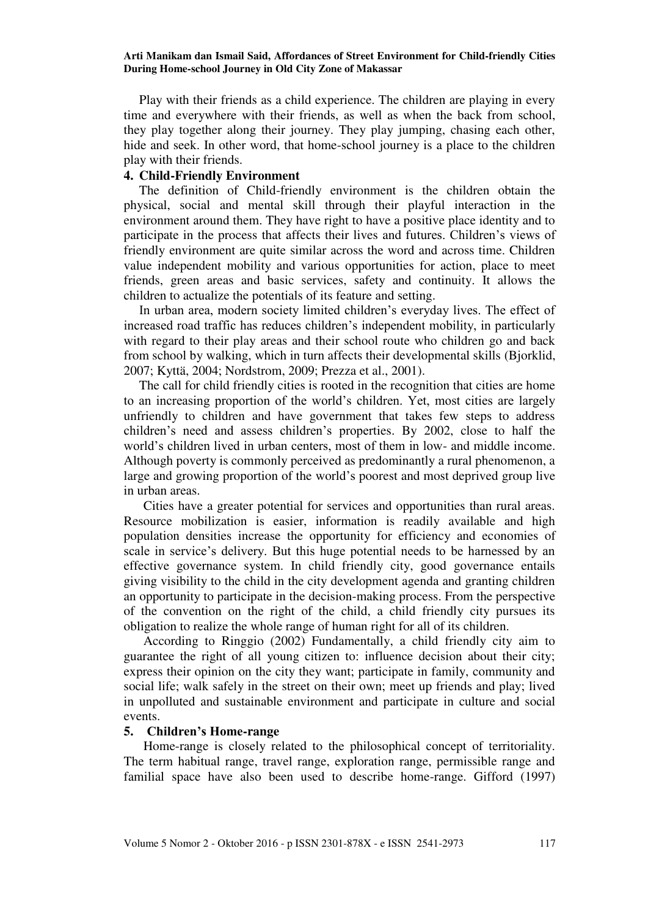Play with their friends as a child experience. The children are playing in every time and everywhere with their friends, as well as when the back from school, they play together along their journey. They play jumping, chasing each other, hide and seek. In other word, that home-school journey is a place to the children play with their friends.

## **4. Child-Friendly Environment**

The definition of Child-friendly environment is the children obtain the physical, social and mental skill through their playful interaction in the environment around them. They have right to have a positive place identity and to participate in the process that affects their lives and futures. Children"s views of friendly environment are quite similar across the word and across time. Children value independent mobility and various opportunities for action, place to meet friends, green areas and basic services, safety and continuity. It allows the children to actualize the potentials of its feature and setting.

In urban area, modern society limited children"s everyday lives. The effect of increased road traffic has reduces children"s independent mobility, in particularly with regard to their play areas and their school route who children go and back from school by walking, which in turn affects their developmental skills (Bjorklid, 2007; Kyttä, 2004; Nordstrom, 2009; Prezza et al., 2001).

The call for child friendly cities is rooted in the recognition that cities are home to an increasing proportion of the world"s children. Yet, most cities are largely unfriendly to children and have government that takes few steps to address children"s need and assess children"s properties. By 2002, close to half the world"s children lived in urban centers, most of them in low- and middle income. Although poverty is commonly perceived as predominantly a rural phenomenon, a large and growing proportion of the world"s poorest and most deprived group live in urban areas.

Cities have a greater potential for services and opportunities than rural areas. Resource mobilization is easier, information is readily available and high population densities increase the opportunity for efficiency and economies of scale in service's delivery. But this huge potential needs to be harnessed by an effective governance system. In child friendly city, good governance entails giving visibility to the child in the city development agenda and granting children an opportunity to participate in the decision-making process. From the perspective of the convention on the right of the child, a child friendly city pursues its obligation to realize the whole range of human right for all of its children.

According to Ringgio (2002) Fundamentally, a child friendly city aim to guarantee the right of all young citizen to: influence decision about their city; express their opinion on the city they want; participate in family, community and social life; walk safely in the street on their own; meet up friends and play; lived in unpolluted and sustainable environment and participate in culture and social events.

## **5. Children's Home-range**

Home-range is closely related to the philosophical concept of territoriality. The term habitual range, travel range, exploration range, permissible range and familial space have also been used to describe home-range. Gifford (1997)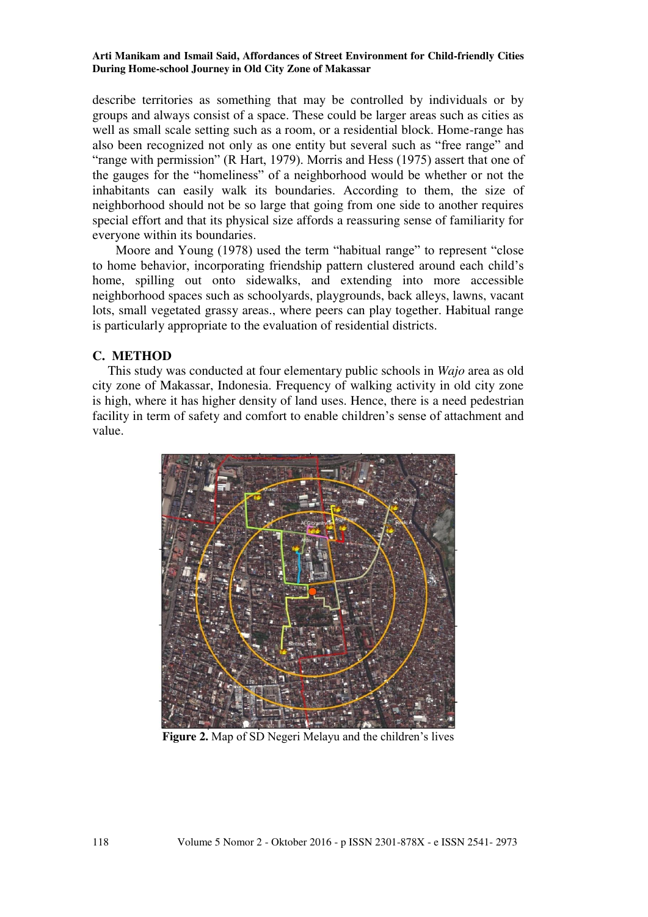describe territories as something that may be controlled by individuals or by groups and always consist of a space. These could be larger areas such as cities as well as small scale setting such as a room, or a residential block. Home-range has also been recognized not only as one entity but several such as "free range" and "range with permission" (R Hart, 1979). Morris and Hess (1975) assert that one of the gauges for the "homeliness" of a neighborhood would be whether or not the inhabitants can easily walk its boundaries. According to them, the size of neighborhood should not be so large that going from one side to another requires special effort and that its physical size affords a reassuring sense of familiarity for everyone within its boundaries.

Moore and Young (1978) used the term "habitual range" to represent "close to home behavior, incorporating friendship pattern clustered around each child"s home, spilling out onto sidewalks, and extending into more accessible neighborhood spaces such as schoolyards, playgrounds, back alleys, lawns, vacant lots, small vegetated grassy areas., where peers can play together. Habitual range is particularly appropriate to the evaluation of residential districts.

# **C. METHOD**

 This study was conducted at four elementary public schools in *Wajo* area as old city zone of Makassar, Indonesia. Frequency of walking activity in old city zone is high, where it has higher density of land uses. Hence, there is a need pedestrian facility in term of safety and comfort to enable children"s sense of attachment and value.



Figure 2. Map of SD Negeri Melayu and the children's lives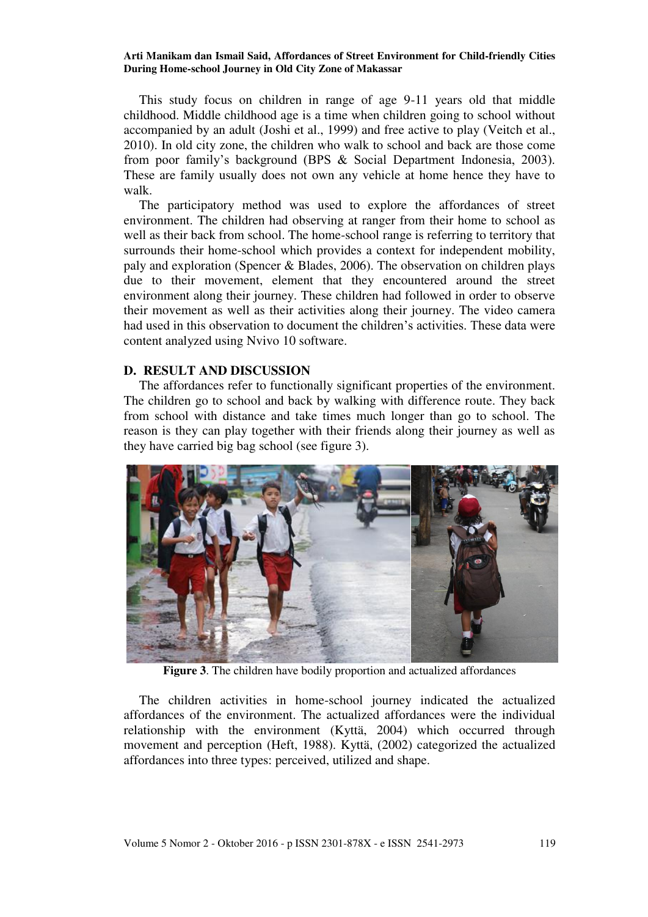This study focus on children in range of age 9-11 years old that middle childhood. Middle childhood age is a time when children going to school without accompanied by an adult (Joshi et al., 1999) and free active to play (Veitch et al., 2010). In old city zone, the children who walk to school and back are those come from poor family"s background (BPS & Social Department Indonesia, 2003). These are family usually does not own any vehicle at home hence they have to walk.

 The participatory method was used to explore the affordances of street environment. The children had observing at ranger from their home to school as well as their back from school. The home-school range is referring to territory that surrounds their home-school which provides a context for independent mobility, paly and exploration (Spencer & Blades, 2006). The observation on children plays due to their movement, element that they encountered around the street environment along their journey. These children had followed in order to observe their movement as well as their activities along their journey. The video camera had used in this observation to document the children"s activities. These data were content analyzed using Nvivo 10 software.

### **D. RESULT AND DISCUSSION**

 The affordances refer to functionally significant properties of the environment. The children go to school and back by walking with difference route. They back from school with distance and take times much longer than go to school. The reason is they can play together with their friends along their journey as well as they have carried big bag school (see figure 3).



**Figure 3**. The children have bodily proportion and actualized affordances

 The children activities in home-school journey indicated the actualized affordances of the environment. The actualized affordances were the individual relationship with the environment (Kyttä, 2004) which occurred through movement and perception (Heft, 1988). Kyttä, (2002) categorized the actualized affordances into three types: perceived, utilized and shape.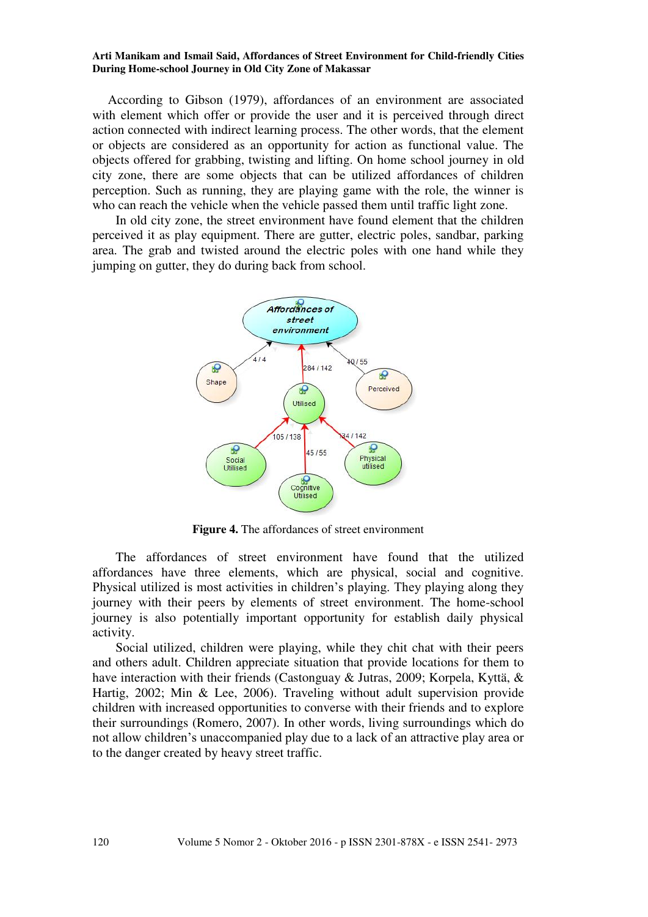According to Gibson (1979), affordances of an environment are associated with element which offer or provide the user and it is perceived through direct action connected with indirect learning process. The other words, that the element or objects are considered as an opportunity for action as functional value. The objects offered for grabbing, twisting and lifting. On home school journey in old city zone, there are some objects that can be utilized affordances of children perception. Such as running, they are playing game with the role, the winner is who can reach the vehicle when the vehicle passed them until traffic light zone.

In old city zone, the street environment have found element that the children perceived it as play equipment. There are gutter, electric poles, sandbar, parking area. The grab and twisted around the electric poles with one hand while they jumping on gutter, they do during back from school.



**Figure 4.** The affordances of street environment

The affordances of street environment have found that the utilized affordances have three elements, which are physical, social and cognitive. Physical utilized is most activities in children"s playing. They playing along they journey with their peers by elements of street environment. The home-school journey is also potentially important opportunity for establish daily physical activity.

Social utilized, children were playing, while they chit chat with their peers and others adult. Children appreciate situation that provide locations for them to have interaction with their friends (Castonguay & Jutras, 2009; Korpela, Kyttä, & Hartig, 2002; Min & Lee, 2006). Traveling without adult supervision provide children with increased opportunities to converse with their friends and to explore their surroundings (Romero, 2007). In other words, living surroundings which do not allow children"s unaccompanied play due to a lack of an attractive play area or to the danger created by heavy street traffic.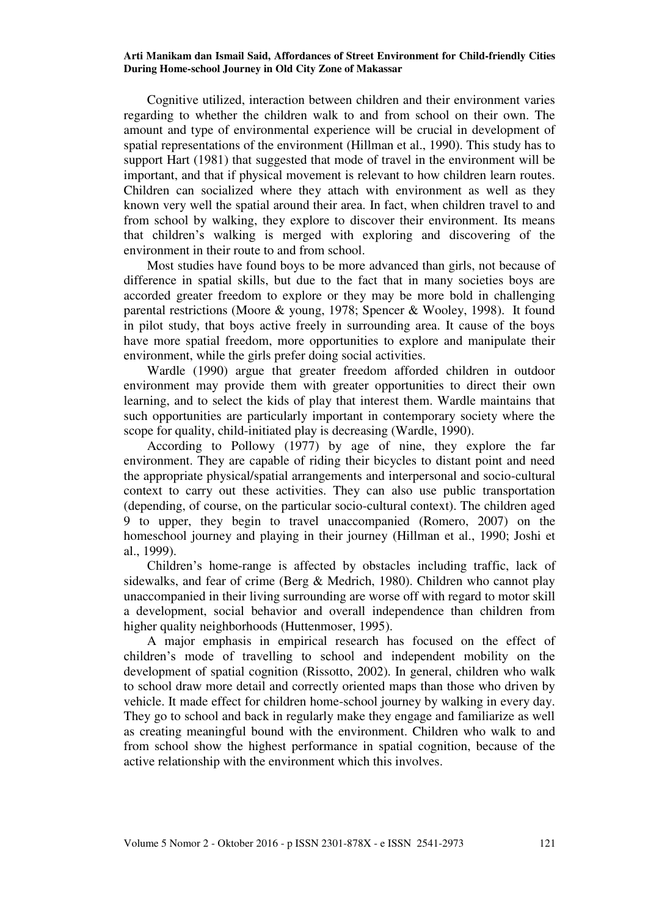Cognitive utilized, interaction between children and their environment varies regarding to whether the children walk to and from school on their own. The amount and type of environmental experience will be crucial in development of spatial representations of the environment (Hillman et al., 1990). This study has to support Hart (1981) that suggested that mode of travel in the environment will be important, and that if physical movement is relevant to how children learn routes. Children can socialized where they attach with environment as well as they known very well the spatial around their area. In fact, when children travel to and from school by walking, they explore to discover their environment. Its means that children"s walking is merged with exploring and discovering of the environment in their route to and from school.

Most studies have found boys to be more advanced than girls, not because of difference in spatial skills, but due to the fact that in many societies boys are accorded greater freedom to explore or they may be more bold in challenging parental restrictions (Moore & young, 1978; Spencer & Wooley, 1998). It found in pilot study, that boys active freely in surrounding area. It cause of the boys have more spatial freedom, more opportunities to explore and manipulate their environment, while the girls prefer doing social activities.

Wardle (1990) argue that greater freedom afforded children in outdoor environment may provide them with greater opportunities to direct their own learning, and to select the kids of play that interest them. Wardle maintains that such opportunities are particularly important in contemporary society where the scope for quality, child-initiated play is decreasing (Wardle, 1990).

According to Pollowy (1977) by age of nine, they explore the far environment. They are capable of riding their bicycles to distant point and need the appropriate physical/spatial arrangements and interpersonal and socio-cultural context to carry out these activities. They can also use public transportation (depending, of course, on the particular socio-cultural context). The children aged 9 to upper, they begin to travel unaccompanied (Romero, 2007) on the homeschool journey and playing in their journey (Hillman et al., 1990; Joshi et al., 1999).

Children"s home-range is affected by obstacles including traffic, lack of sidewalks, and fear of crime (Berg & Medrich, 1980). Children who cannot play unaccompanied in their living surrounding are worse off with regard to motor skill a development, social behavior and overall independence than children from higher quality neighborhoods (Huttenmoser, 1995).

A major emphasis in empirical research has focused on the effect of children"s mode of travelling to school and independent mobility on the development of spatial cognition (Rissotto, 2002). In general, children who walk to school draw more detail and correctly oriented maps than those who driven by vehicle. It made effect for children home-school journey by walking in every day. They go to school and back in regularly make they engage and familiarize as well as creating meaningful bound with the environment. Children who walk to and from school show the highest performance in spatial cognition, because of the active relationship with the environment which this involves.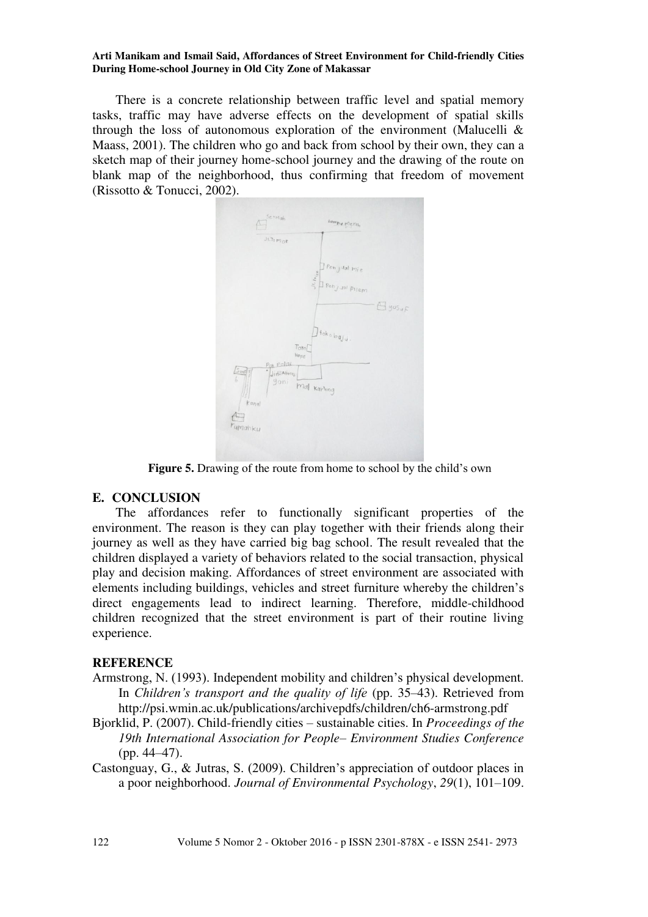There is a concrete relationship between traffic level and spatial memory tasks, traffic may have adverse effects on the development of spatial skills through the loss of autonomous exploration of the environment (Malucelli  $\&$ Maass, 2001). The children who go and back from school by their own, they can a sketch map of their journey home-school journey and the drawing of the route on blank map of the neighborhood, thus confirming that freedom of movement (Rissotto & Tonucci, 2002).



Figure 5. Drawing of the route from home to school by the child's own

# **E. CONCLUSION**

The affordances refer to functionally significant properties of the environment. The reason is they can play together with their friends along their journey as well as they have carried big bag school. The result revealed that the children displayed a variety of behaviors related to the social transaction, physical play and decision making. Affordances of street environment are associated with elements including buildings, vehicles and street furniture whereby the children"s direct engagements lead to indirect learning. Therefore, middle-childhood children recognized that the street environment is part of their routine living experience.

## **REFERENCE**

- Armstrong, N. (1993). Independent mobility and children"s physical development. In *Children's transport and the quality of life* (pp. 35–43). Retrieved from http://psi.wmin.ac.uk/publications/archivepdfs/children/ch6-armstrong.pdf
- Bjorklid, P. (2007). Child-friendly cities sustainable cities. In *Proceedings of the 19th International Association for People– Environment Studies Conference* (pp. 44–47).
- Castonguay, G., & Jutras, S. (2009). Children"s appreciation of outdoor places in a poor neighborhood. *Journal of Environmental Psychology*, *29*(1), 101–109.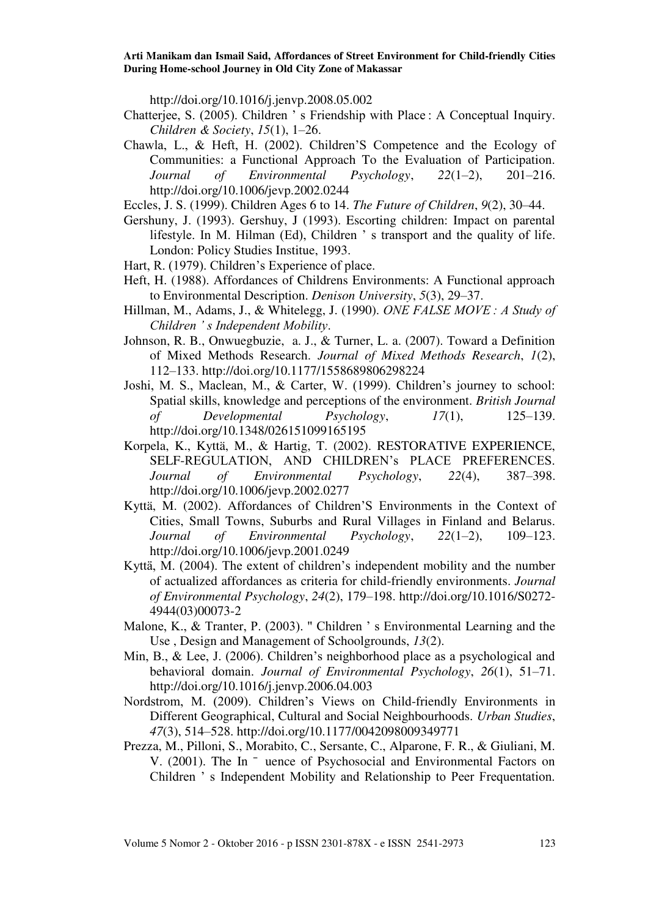http://doi.org/10.1016/j.jenvp.2008.05.002

- Chatterjee, S. (2005). Children " s Friendship with Place : A Conceptual Inquiry. *Children & Society*, *15*(1), 1–26.
- Chawla, L., & Heft, H. (2002). Children"S Competence and the Ecology of Communities: a Functional Approach To the Evaluation of Participation. *Journal of Environmental Psychology*, *22*(1–2), 201–216. http://doi.org/10.1006/jevp.2002.0244
- Eccles, J. S. (1999). Children Ages 6 to 14. *The Future of Children*, *9*(2), 30–44.
- Gershuny, J. (1993). Gershuy, J (1993). Escorting children: Impact on parental lifestyle. In M. Hilman (Ed), Children " s transport and the quality of life. London: Policy Studies Institue, 1993.
- Hart, R. (1979). Children's Experience of place.
- Heft, H. (1988). Affordances of Childrens Environments: A Functional approach to Environmental Description. *Denison University*, *5*(3), 29–37.
- Hillman, M., Adams, J., & Whitelegg, J. (1990). *ONE FALSE MOVE : A Study of Children ' s Independent Mobility*.
- Johnson, R. B., Onwuegbuzie, a. J., & Turner, L. a. (2007). Toward a Definition of Mixed Methods Research. *Journal of Mixed Methods Research*, *1*(2), 112–133. http://doi.org/10.1177/1558689806298224
- Joshi, M. S., Maclean, M., & Carter, W. (1999). Children"s journey to school: Spatial skills, knowledge and perceptions of the environment. *British Journal of Developmental Psychology*, *17*(1), 125–139. http://doi.org/10.1348/026151099165195
- Korpela, K., Kyttä, M., & Hartig, T. (2002). RESTORATIVE EXPERIENCE, SELF-REGULATION, AND CHILDREN"s PLACE PREFERENCES. *Journal of Environmental Psychology*, *22*(4), 387–398. http://doi.org/10.1006/jevp.2002.0277
- Kyttä, M. (2002). Affordances of Children"S Environments in the Context of Cities, Small Towns, Suburbs and Rural Villages in Finland and Belarus. *Journal of Environmental Psychology*, *22*(1–2), 109–123. http://doi.org/10.1006/jevp.2001.0249
- Kyttä, M. (2004). The extent of children"s independent mobility and the number of actualized affordances as criteria for child-friendly environments. *Journal of Environmental Psychology*, *24*(2), 179–198. http://doi.org/10.1016/S0272- 4944(03)00073-2
- Malone, K., & Tranter, P. (2003). " Children " s Environmental Learning and the Use , Design and Management of Schoolgrounds, *13*(2).
- Min, B., & Lee, J. (2006). Children"s neighborhood place as a psychological and behavioral domain. *Journal of Environmental Psychology*, *26*(1), 51–71. http://doi.org/10.1016/j.jenvp.2006.04.003
- Nordstrom, M. (2009). Children"s Views on Child-friendly Environments in Different Geographical, Cultural and Social Neighbourhoods. *Urban Studies*, *47*(3), 514–528. http://doi.org/10.1177/0042098009349771
- Prezza, M., Pilloni, S., Morabito, C., Sersante, C., Alparone, F. R., & Giuliani, M. V. (2001). The In ¯ uence of Psychosocial and Environmental Factors on Children " s Independent Mobility and Relationship to Peer Frequentation.